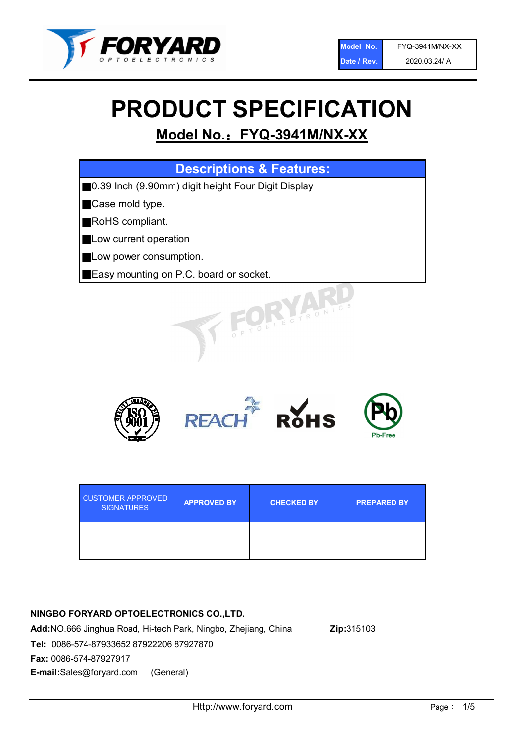

# PRODUCT SPECIFICATION

## Model No.: FYQ-3941M/NX-XX

| <b>Descriptions &amp; Features:</b>                |
|----------------------------------------------------|
| 0.39 Inch (9.90mm) digit height Four Digit Display |
| Case mold type.                                    |
| <b>RoHS</b> compliant.                             |
| Low current operation                              |
| Low power consumption.                             |
| Easy mounting on P.C. board or socket.             |
| TOELECTRONIC.                                      |



| <b>CUSTOMER APPROVED</b><br><b>SIGNATURES</b> | <b>APPROVED BY</b> | <b>CHECKED BY</b> | <b>PREPARED BY</b> |
|-----------------------------------------------|--------------------|-------------------|--------------------|
|                                               |                    |                   |                    |

## NINGBO FORYARD OPTOELECTRONICS CO.,LTD.

Add:NO.666 Jinghua Road, Hi-tech Park, Ningbo, Zhejiang, China Zip:315103 Tel: 0086-574-87933652 87922206 87927870 Fax: 0086-574-87927917 E-mail:Sales@foryard.com (General)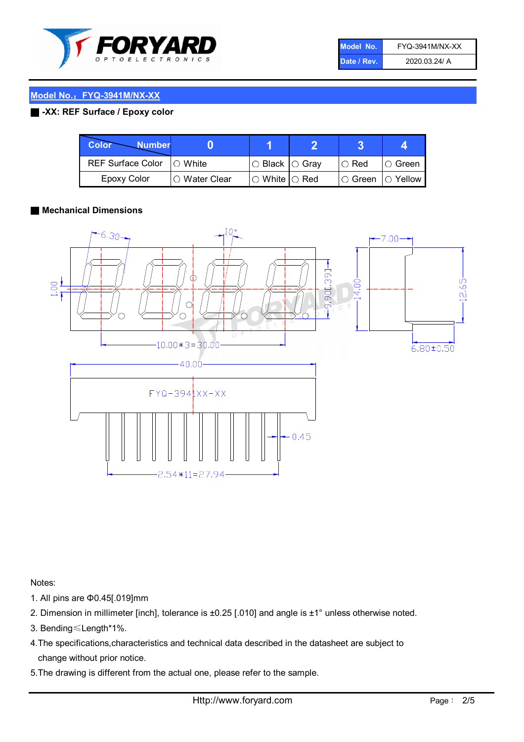

| Model No.   | <b>FYQ-3941M/NX-XX</b> |
|-------------|------------------------|
| Date / Rev. | 2020.03.24/ A          |

## ■ -XX: REF Surface / Epoxy color

| <b>Color</b><br><b>Number</b> |               |                           |                      |            |
|-------------------------------|---------------|---------------------------|----------------------|------------|
| REF Surface Color   O White   |               | I○ Black  ○ Gray          | $\circ$ Red          | IO Green i |
| <b>Epoxy Color</b>            | ○ Water Clear | $\circ$ White $\circ$ Red | l ⊙ Green   ○ Yellow |            |

#### ■ Mechanical Dimensions



Notes:

- 1. All pins are Φ0.45[.019]mm
- 2. Dimension in millimeter [inch], tolerance is ±0.25 [.010] and angle is ±1° unless otherwise noted.
- 3. Bending≤Length\*1%.
- 4.The specifications,characteristics and technical data described in the datasheet are subject to change without prior notice.
- 5.The drawing is different from the actual one, please refer to the sample.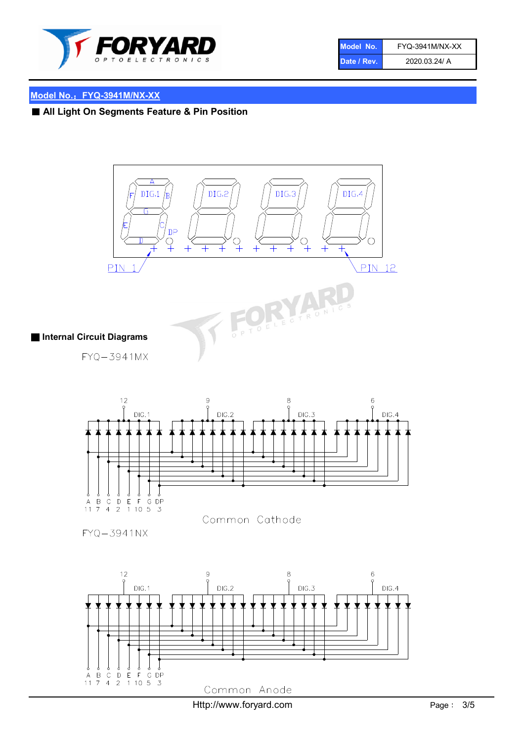

| Model No.'  | <b>FYQ-3941M/NX-XX</b> |
|-------------|------------------------|
| Date / Rev. | 2020.03.24/ A          |

■ All Light On Segments Feature & Pin Position



Http://www.foryard.com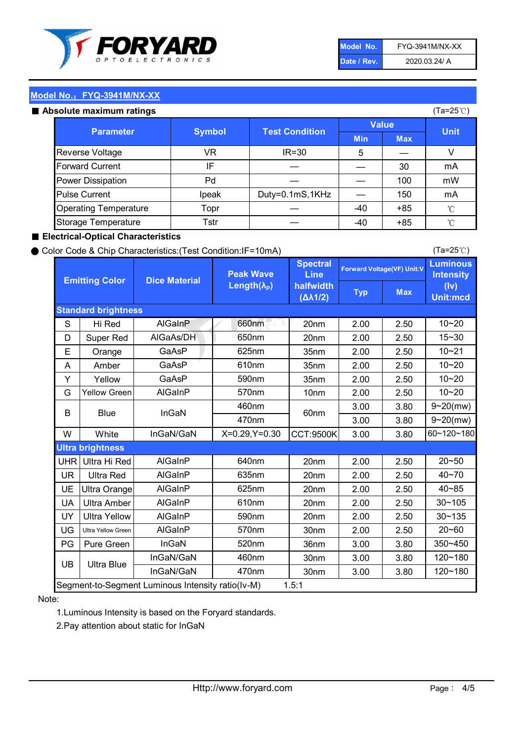

| Model No.   | <b>FYQ-3941M/NX-XX</b> |
|-------------|------------------------|
| Date / Rev. | 2020.03.24/ A          |

|  | Absolute maximum ratings |  |
|--|--------------------------|--|

| isolute maximum ratings      |               |                       |              |            |              |  |
|------------------------------|---------------|-----------------------|--------------|------------|--------------|--|
| <b>Parameter</b>             | <b>Symbol</b> | <b>Test Condition</b> | <b>Value</b> |            | <b>Unit</b>  |  |
|                              |               |                       | <b>Min</b>   | <b>Max</b> |              |  |
| Reverse Voltage              | VR            | IR=30                 | 5            |            |              |  |
| <b>Forward Current</b>       | ΙF            |                       |              | 30         | mA           |  |
| Power Dissipation            | Pd            |                       |              | 100        | mW           |  |
| <b>Pulse Current</b>         | Ipeak         | Duty=0.1mS,1KHz       |              | 150        | mA           |  |
| <b>Operating Temperature</b> | Topr          |                       | $-40$        | $+85$      | $^{\circ}$ C |  |
| Storage Temperature          | Tstr          |                       | $-40$        | $+85$      | °C           |  |

## ■ Electrical-Optical Characteristics

### ● Color Code & Chip Characteristics: (Test Condition: IF=10mA)

| <b>Emitting Color</b> |                                                            | <b>Dice Material</b> | <b>Peak Wave</b>                       | <b>Spectral</b><br><b>Line</b> | <b>Forward Voltage(VF) Unit:V</b> |            | <b>Luminous</b><br><b>Intensity</b> |
|-----------------------|------------------------------------------------------------|----------------------|----------------------------------------|--------------------------------|-----------------------------------|------------|-------------------------------------|
|                       |                                                            |                      | Length( $\overline{\Lambda_{\rm P}}$ ) | halfwidth<br>(Δλ1/2)           | <b>Typ</b>                        | <b>Max</b> | (IV)<br><b>Unit:mcd</b>             |
|                       | <b>Standard brightness</b>                                 |                      |                                        |                                |                                   |            |                                     |
| S                     | Hi Red                                                     | AlGaInP              | 660nm                                  | 20nm                           | 2.00                              | 2.50       | $10 - 20$                           |
| D                     | Super Red                                                  | AIGaAs/DH            | 650nm                                  | 20nm                           | 2.00                              | 2.50       | $15 - 30$                           |
| E                     | Orange                                                     | GaAsP                | 625nm                                  | 35nm                           | 2.00                              | 2.50       | $10 - 21$                           |
| A                     | Amber                                                      | GaAsP                | 610nm                                  | 35nm                           | 2.00                              | 2.50       | $10 - 20$                           |
| Υ                     | Yellow                                                     | GaAsP                | 590nm                                  | 35 <sub>nm</sub>               | 2.00                              | 2.50       | $10 - 20$                           |
| G                     | <b>Yellow Green</b>                                        | AlGaInP              | 570nm                                  | 10nm                           | 2.00                              | 2.50       | $10 - 20$                           |
|                       | B<br><b>Blue</b>                                           | InGaN                | 460nm                                  | 60nm                           | 3.00                              | 3.80       | $9 - 20$ (mw)                       |
|                       |                                                            |                      | 470nm                                  |                                | 3.00                              | 3.80       | $9 - 20$ (mw)                       |
| W                     | White                                                      | InGaN/GaN            | $X=0.29, Y=0.30$                       | <b>CCT:9500K</b>               | 3.00                              | 3.80       | 60~120~180                          |
|                       | <b>Ultra brightness</b>                                    |                      |                                        |                                |                                   |            |                                     |
| <b>UHR</b>            | Ultra Hi Red                                               | AlGaInP              | 640nm                                  | 20 <sub>nm</sub>               | 2.00                              | 2.50       | $20 - 50$                           |
| <b>UR</b>             | <b>Ultra Red</b>                                           | AlGaInP              | 635nm                                  | 20 <sub>nm</sub>               | 2.00                              | 2.50       | $40 - 70$                           |
| UE                    | Ultra Orange                                               | AlGaInP              | 625nm                                  | 20nm                           | 2.00                              | 2.50       | $40 - 85$                           |
| <b>UA</b>             | <b>Ultra Amber</b>                                         | AlGaInP              | 610nm                                  | 20nm                           | 2.00                              | 2.50       | $30 - 105$                          |
| UY                    | <b>Ultra Yellow</b>                                        | AlGaInP              | 590nm                                  | 20nm                           | 2.00                              | 2.50       | $30 - 135$                          |
| UG                    | <b>Ultra Yellow Green</b>                                  | AlGaInP              | 570nm                                  | 30nm                           | 2.00                              | 2.50       | $20 - 60$                           |
| PG                    | Pure Green                                                 | InGaN                | 520nm                                  | 36nm                           | 3.00                              | 3.80       | 350~450                             |
| UB                    | <b>Ultra Blue</b>                                          | InGaN/GaN            | 460nm                                  | 30nm                           | 3.00                              | 3.80       | 120~180                             |
|                       |                                                            | InGaN/GaN            | 470nm                                  | 30nm                           | 3.00                              | 3.80       | 120~180                             |
|                       | Segment-to-Segment Luminous Intensity ratio(Iv-M)<br>1.5:1 |                      |                                        |                                |                                   |            |                                     |

#### Note:

1.Luminous Intensity is based on the Foryard standards.

2.Pay attention about static for InGaN

(Ta=25℃)

(Ta=25℃)